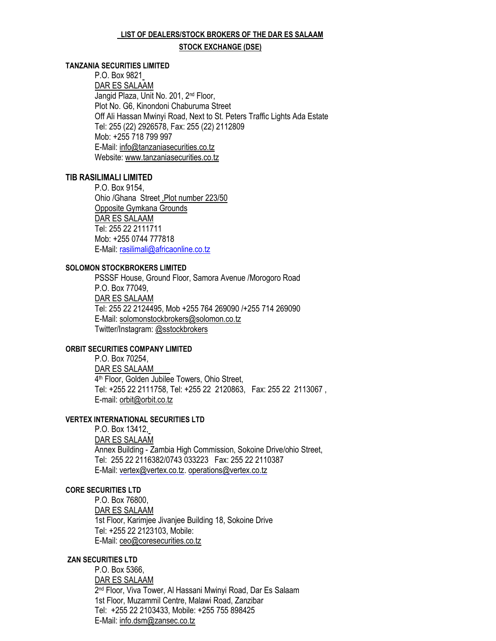#### **LIST OF DEALERS/STOCK BROKERS OF THE DAR ES SALAAM**

#### **STOCK EXCHANGE (DSE)**

### **TANZANIA SECURITIES LIMITED**

P.O. Box 9821 DAR ES SALAAM Jangid Plaza, Unit No. 201, 2<sup>nd</sup> Floor, Plot No. G6, Kinondoni Chaburuma Street Off Ali Hassan Mwinyi Road, Next to St. Peters Traffic Lights Ada Estate Tel: 255 (22) 2926578, Fax: 255 (22) 2112809 Mob: +255 718 799 997 E-Mail: [info@tanzaniasecurities.co.tz](mailto:info@tanzaniasecurities.co.tz) Website: [www.tanzaniasecurities.co.tz](http://www.tanzaniasecurities.co.tz/)

## **TIB RASILIMALI LIMITED**

P.O. Box 9154, Ohio /Ghana Street ,Plot number 223/50 Opposite Gymkana Grounds DAR ES SALAAM Tel: 255 22 2111711 Mob: +255 0744 777818 E-Mail: [rasilimali@africaonline.co.tz](mailto:rasilimali@africaonline.co.tz) 

#### **SOLOMON STOCKBROKERS LIMITED**

PSSSF House, Ground Floor, Samora Avenue /Morogoro Road P.O. Box 77049, DAR ES SALAAM Tel: 255 22 2124495, Mob +255 764 269090 /+255 714 269090 E-Mail: [solomonstockbrokers@solomon.co.tz](mailto:solomonstockbrokers@solomon.co.tz) Twitter/Instagram: [@sstockbrokers](https://twitter.com/SStockbrokers)

### **ORBIT SECURITIES COMPANY LIMITED**

P.O. Box 70254, DAR ES SALAAM 4 th Floor, Golden Jubilee Towers, Ohio Street, Tel: +255 22 2111758, Tel: +255 22 2120863, Fax: 255 22 2113067 , E-mail: [orbit@orbit.co.tz](mailto:orbit@orbit.co.tz)

# **VERTEX INTERNATIONAL SECURITIES LTD**

P.O. Box 13412,

DAR ES SALAAM Annex Building - Zambia High Commission, Sokoine Drive/ohio Street, Tel: 255 22 2116382/0743 033223 Fax: 255 22 2110387 E-Mail[: vertex@vertex.co.tz.](mailto:vertex@vertex.co.tz) [operations@vertex.co.tz](mailto:operations@vertex.co.tz)

### **CORE SECURITIES LTD**

P.O. Box 76800, DAR ES SALAAM 1st Floor, Karimjee Jivanjee Building 18, Sokoine Drive Tel: +255 22 2123103, Mobile: E-Mail: [ceo@coresecurities.co.tz](mailto:ceo@coresecurities.co.tz)

#### **ZAN SECURITIES LTD**

P.O. Box 5366, DAR ES SALAAM 2 nd Floor, Viva Tower, Al Hassani Mwinyi Road, Dar Es Salaam 1st Floor, Muzammil Centre, Malawi Road, Zanzibar Tel: +255 22 2103433, Mobile: +255 755 898425 E-Mail: [info.dsm@zansec.co.tz](mailto:info.dsm@zansec.co.tz)